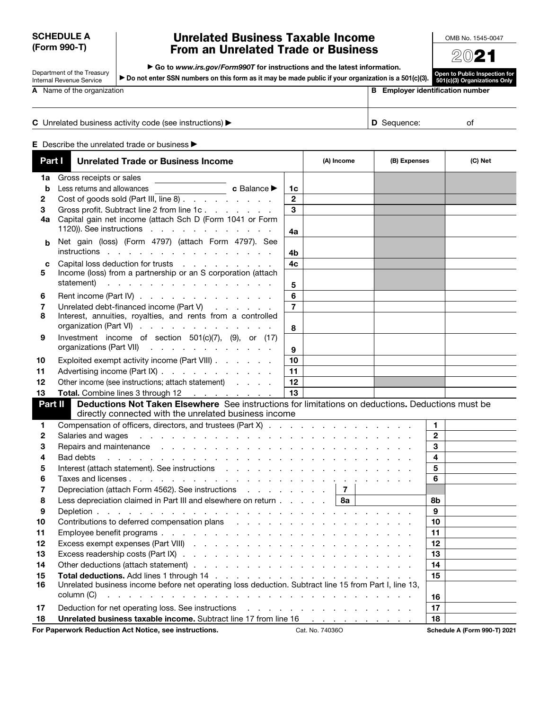## SCHEDULE A (Form 990-T)

## Unrelated Business Taxable Income From an Unrelated Trade or Business

OMB No. 1545-0047 2021

Department of the Treasury Internal Revenue Service

▶ Go to *www.irs.gov/Form990T* for instructions and the latest information.

| Department of the Treasury<br>Internal Revenue Service | Do not enter SSN numbers on this form as it may be made public if your organization is a 501(c)(3). 501(e)(3) Organizations Only |   |                    | Open to Public Inspection for         |  |
|--------------------------------------------------------|----------------------------------------------------------------------------------------------------------------------------------|---|--------------------|---------------------------------------|--|
| <b>A</b> Name of the organization                      |                                                                                                                                  | в |                    | <b>Employer identification number</b> |  |
|                                                        | <b>C</b> Unrelated business activity code (see instructions) $\blacktriangleright$                                               |   | <b>D</b> Sequence: | οt                                    |  |

E Describe the unrelated trade or business ▶

|                                                                                                                                                                                                                                     |                                                                                                                                                                                                                                |                |                                                     |                              | (C) Net |
|-------------------------------------------------------------------------------------------------------------------------------------------------------------------------------------------------------------------------------------|--------------------------------------------------------------------------------------------------------------------------------------------------------------------------------------------------------------------------------|----------------|-----------------------------------------------------|------------------------------|---------|
| Gross receipts or sales<br>1a                                                                                                                                                                                                       |                                                                                                                                                                                                                                |                |                                                     |                              |         |
| b                                                                                                                                                                                                                                   |                                                                                                                                                                                                                                | 1c             |                                                     |                              |         |
| Cost of goods sold (Part III, line 8)<br>2                                                                                                                                                                                          |                                                                                                                                                                                                                                | $\mathbf 2$    |                                                     |                              |         |
| Gross profit. Subtract line 2 from line 1c<br>3                                                                                                                                                                                     |                                                                                                                                                                                                                                | $\overline{3}$ |                                                     |                              |         |
| Capital gain net income (attach Sch D (Form 1041 or Form<br>4a                                                                                                                                                                      |                                                                                                                                                                                                                                |                |                                                     |                              |         |
| 1120)). See instructions $\cdots$ $\cdots$ $\cdots$ $\cdots$ $\cdots$ $\cdots$                                                                                                                                                      |                                                                                                                                                                                                                                | 4a             |                                                     |                              |         |
| Net gain (loss) (Form 4797) (attach Form 4797). See<br>b<br>instructions                                                                                                                                                            |                                                                                                                                                                                                                                | 4b             |                                                     |                              |         |
| Capital loss deduction for trusts<br>c                                                                                                                                                                                              |                                                                                                                                                                                                                                | 4c             |                                                     |                              |         |
| Income (loss) from a partnership or an S corporation (attach<br>5                                                                                                                                                                   |                                                                                                                                                                                                                                |                |                                                     |                              |         |
| statement)                                                                                                                                                                                                                          | the contract of the contract of the contract of the con-                                                                                                                                                                       | 5              |                                                     |                              |         |
| Rent income (Part IV) $\ldots$ $\ldots$ $\ldots$ $\ldots$ $\ldots$ $\ldots$<br>6                                                                                                                                                    |                                                                                                                                                                                                                                | $\bf 6$        |                                                     |                              |         |
| Unrelated debt-financed income (Part V)<br>7                                                                                                                                                                                        |                                                                                                                                                                                                                                | $\overline{7}$ |                                                     |                              |         |
| Interest, annuities, royalties, and rents from a controlled<br>8                                                                                                                                                                    |                                                                                                                                                                                                                                |                |                                                     |                              |         |
| organization (Part VI)                                                                                                                                                                                                              |                                                                                                                                                                                                                                | 8              |                                                     |                              |         |
| Investment income of section $501(c)(7)$ , $(9)$ , or $(17)$<br>9                                                                                                                                                                   |                                                                                                                                                                                                                                |                |                                                     |                              |         |
| organizations (Part VII)                                                                                                                                                                                                            |                                                                                                                                                                                                                                | 9              |                                                     |                              |         |
| Exploited exempt activity income (Part VIII)<br>10                                                                                                                                                                                  |                                                                                                                                                                                                                                | 10             |                                                     |                              |         |
| Advertising income (Part IX)<br>11                                                                                                                                                                                                  |                                                                                                                                                                                                                                | 11             |                                                     |                              |         |
| Other income (see instructions; attach statement)<br>12                                                                                                                                                                             |                                                                                                                                                                                                                                | 12             |                                                     |                              |         |
| Total. Combine lines 3 through 12<br>13                                                                                                                                                                                             |                                                                                                                                                                                                                                | 13             |                                                     |                              |         |
| Part II                                                                                                                                                                                                                             | Deductions Not Taken Elsewhere See instructions for limitations on deductions. Deductions must be<br>directly connected with the unrelated business income                                                                     |                |                                                     |                              |         |
| 1                                                                                                                                                                                                                                   |                                                                                                                                                                                                                                |                |                                                     | $\mathbf{1}$                 |         |
| Salaries and wages<br>2                                                                                                                                                                                                             | والمتعاون والمتعاون والمتعاون والمتعاون والمتعاون والمتعاون والمتعاون والمتعاون والمتعاون                                                                                                                                      |                |                                                     | $\overline{\mathbf{c}}$      |         |
| Repairs and maintenance resources and resources and resources and maintenance resources and resources and resources<br>3                                                                                                            |                                                                                                                                                                                                                                |                |                                                     | 3                            |         |
| 4<br>Bad debts                                                                                                                                                                                                                      | and the contract of the contract of the contract of the contract of the contract of the contract of the contract of the contract of the contract of the contract of the contract of the contract of the contract of the contra |                |                                                     | 4                            |         |
| 5<br>Interest (attach statement). See instructions enter the contract of the contract of the contract of the contract of the contract of the contract of the contract of the contract of the contract of the contract of the contra |                                                                                                                                                                                                                                |                |                                                     | 5                            |         |
| 6                                                                                                                                                                                                                                   |                                                                                                                                                                                                                                |                |                                                     | 6                            |         |
| Depreciation (attach Form 4562). See instructions $\cdots$ $\cdots$ $\cdots$ $\cdots$   7<br>7                                                                                                                                      |                                                                                                                                                                                                                                |                |                                                     |                              |         |
| Less depreciation claimed in Part III and elsewhere on return $\ldots$ $\ldots$ $\vert$ 8a<br>8                                                                                                                                     |                                                                                                                                                                                                                                |                |                                                     | 8b                           |         |
| 9                                                                                                                                                                                                                                   |                                                                                                                                                                                                                                |                |                                                     | 9                            |         |
| Contributions to deferred compensation plans results and results and results are a set of the contributions to deferred compensation plans<br>10                                                                                    |                                                                                                                                                                                                                                |                |                                                     | 10                           |         |
| 11                                                                                                                                                                                                                                  |                                                                                                                                                                                                                                |                |                                                     | 11                           |         |
| 12                                                                                                                                                                                                                                  |                                                                                                                                                                                                                                |                |                                                     | 12                           |         |
| Excess readership costs (Part IX)<br>13                                                                                                                                                                                             |                                                                                                                                                                                                                                |                |                                                     | $13$                         |         |
| 14                                                                                                                                                                                                                                  |                                                                                                                                                                                                                                |                |                                                     | 14                           |         |
| 15<br>Unrelated business income before net operating loss deduction. Subtract line 15 from Part I, line 13,<br>16                                                                                                                   |                                                                                                                                                                                                                                |                |                                                     | 15                           |         |
|                                                                                                                                                                                                                                     |                                                                                                                                                                                                                                |                |                                                     |                              |         |
|                                                                                                                                                                                                                                     |                                                                                                                                                                                                                                |                |                                                     | 16                           |         |
| 17<br>Deduction for net operating loss. See instructions<br>Unrelated business taxable income. Subtract line 17 from line 16<br>18                                                                                                  |                                                                                                                                                                                                                                |                | and the contract of the contract of the contract of | 17<br>18                     |         |
| For Paperwork Reduction Act Notice, see instructions.                                                                                                                                                                               |                                                                                                                                                                                                                                |                | and the company of the company<br>Cat. No. 74036O   | Schedule A (Form 990-T) 2021 |         |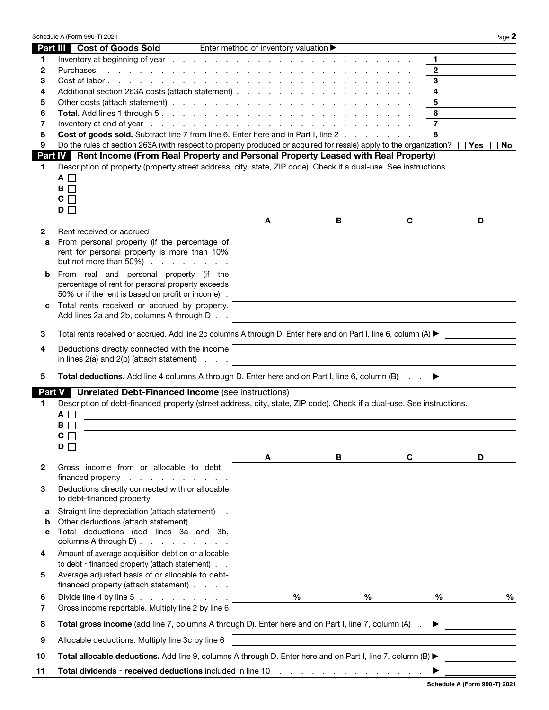|               | Schedule A (Form 990-T) 2021                                                                                                                                                                                                                |                                       |               |                | Page 2     |
|---------------|---------------------------------------------------------------------------------------------------------------------------------------------------------------------------------------------------------------------------------------------|---------------------------------------|---------------|----------------|------------|
|               | Part III Cost of Goods Sold                                                                                                                                                                                                                 | Enter method of inventory valuation > |               |                |            |
| 1.            |                                                                                                                                                                                                                                             |                                       |               | 1.             |            |
| $\mathbf{2}$  | Purchases<br>in the second contract of the second contract of the second contract of the second contract of the second contract of the second contract of the second contract of the second contract of the second contract of the second c |                                       |               | $\mathbf{2}$   |            |
| 3             |                                                                                                                                                                                                                                             |                                       |               | 3              |            |
| 4<br>5        |                                                                                                                                                                                                                                             |                                       |               | 4<br>5         |            |
| 6             |                                                                                                                                                                                                                                             |                                       |               | 6              |            |
| 7             |                                                                                                                                                                                                                                             |                                       |               | $\overline{7}$ |            |
| 8             | Cost of goods sold. Subtract line 7 from line 6. Enter here and in Part I, line 2                                                                                                                                                           |                                       |               | 8              |            |
| 9             | Do the rules of section 263A (with respect to property produced or acquired for resale) apply to the organization?                                                                                                                          |                                       |               |                | Yes<br>No. |
|               | Part IV Rent Income (From Real Property and Personal Property Leased with Real Property)                                                                                                                                                    |                                       |               |                |            |
| 1.            | Description of property (property street address, city, state, ZIP code). Check if a dual-use. See instructions.                                                                                                                            |                                       |               |                |            |
|               | $A \Box$<br>$B \Box$                                                                                                                                                                                                                        |                                       |               |                |            |
|               | $\mathbf{C} \ \Box$                                                                                                                                                                                                                         |                                       |               |                |            |
|               | D                                                                                                                                                                                                                                           |                                       |               |                |            |
|               |                                                                                                                                                                                                                                             | A                                     | в             | C              | D          |
| 2             | Rent received or accrued                                                                                                                                                                                                                    |                                       |               |                |            |
| a             | From personal property (if the percentage of<br>rent for personal property is more than 10%<br>but not more than $50\%$                                                                                                                     |                                       |               |                |            |
| b             | From real and personal property (if the<br>percentage of rent for personal property exceeds                                                                                                                                                 |                                       |               |                |            |
| c             | 50% or if the rent is based on profit or income).<br>Total rents received or accrued by property.                                                                                                                                           |                                       |               |                |            |
| 3             | Add lines 2a and 2b, columns A through D.<br>Total rents received or accrued. Add line 2c columns A through D. Enter here and on Part I, line 6, column (A) ▶                                                                               |                                       |               |                |            |
|               |                                                                                                                                                                                                                                             |                                       |               |                |            |
| 4             | Deductions directly connected with the income<br>in lines $2(a)$ and $2(b)$ (attach statement) $\ldots$                                                                                                                                     |                                       |               |                |            |
| 5             | Total deductions. Add line 4 columns A through D. Enter here and on Part I, line 6, column (B)                                                                                                                                              |                                       |               |                |            |
| <b>Part V</b> | <b>Unrelated Debt-Financed Income (see instructions)</b>                                                                                                                                                                                    |                                       |               |                |            |
| 1.            | Description of debt-financed property (street address, city, state, ZIP code). Check if a dual-use. See instructions.<br>AII                                                                                                                |                                       |               |                |            |
|               | В                                                                                                                                                                                                                                           |                                       |               |                |            |
|               | C<br>$\Box$                                                                                                                                                                                                                                 |                                       |               |                |            |
|               | D                                                                                                                                                                                                                                           | A                                     | в             | C              | D          |
| $\mathbf{2}$  | Gross income from or allocable to debt -                                                                                                                                                                                                    |                                       |               |                |            |
|               | financed property                                                                                                                                                                                                                           |                                       |               |                |            |
| 3             | Deductions directly connected with or allocable<br>to debt-financed property                                                                                                                                                                |                                       |               |                |            |
| а             | Straight line depreciation (attach statement) .                                                                                                                                                                                             |                                       |               |                |            |
| b             | Other deductions (attach statement)                                                                                                                                                                                                         |                                       |               |                |            |
| c             | Total deductions (add lines 3a and 3b,<br>columns A through D) $\ldots$ $\ldots$ $\ldots$ $\ldots$                                                                                                                                          |                                       |               |                |            |
| 4             | Amount of average acquisition debt on or allocable<br>to debt - financed property (attach statement)                                                                                                                                        |                                       |               |                |            |
| 5             | Average adjusted basis of or allocable to debt-<br>financed property (attach statement)                                                                                                                                                     |                                       |               |                |            |
| 6             | Divide line 4 by line 5 $\ldots$ $\ldots$ $\ldots$ $\ldots$                                                                                                                                                                                 | $\frac{0}{0}$                         | $\frac{0}{0}$ | $\frac{0}{0}$  | $\%$       |
| 7             | Gross income reportable. Multiply line 2 by line 6                                                                                                                                                                                          |                                       |               |                |            |
| 8             | Total gross income (add line 7, columns A through D). Enter here and on Part I, line 7, column (A) .                                                                                                                                        |                                       |               | ▶              |            |
| 9             | Allocable deductions. Multiply line 3c by line 6                                                                                                                                                                                            |                                       |               |                |            |
| 10            | Total allocable deductions. Add line 9, columns A through D. Enter here and on Part I, line 7, column (B) $\blacktriangleright$                                                                                                             |                                       |               |                |            |
| 11            |                                                                                                                                                                                                                                             |                                       |               |                |            |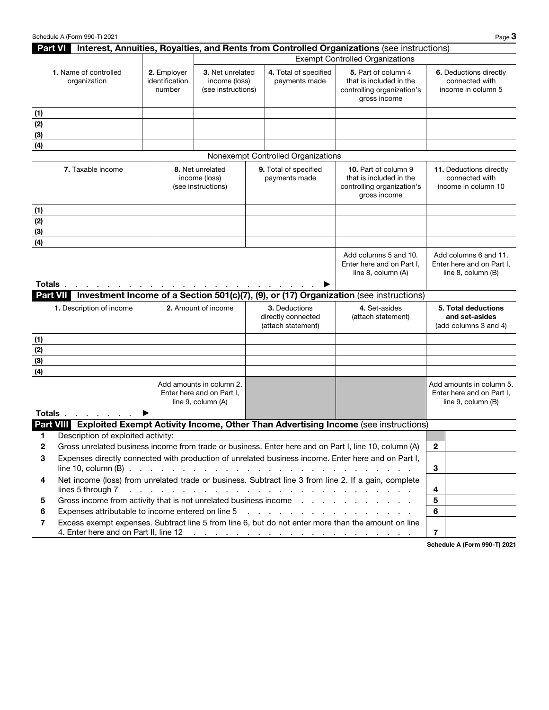|                            | Schedule A (Form 990-T) 2021                                                                                                                                                                                                  |                                         |                                                                             |                                                           |                                                                                                                                           | Page 3                                                                      |
|----------------------------|-------------------------------------------------------------------------------------------------------------------------------------------------------------------------------------------------------------------------------|-----------------------------------------|-----------------------------------------------------------------------------|-----------------------------------------------------------|-------------------------------------------------------------------------------------------------------------------------------------------|-----------------------------------------------------------------------------|
|                            | <b>Part VI</b>                                                                                                                                                                                                                |                                         |                                                                             |                                                           | Interest, Annuities, Royalties, and Rents from Controlled Organizations (see instructions)                                                |                                                                             |
|                            |                                                                                                                                                                                                                               |                                         |                                                                             |                                                           | <b>Exempt Controlled Organizations</b>                                                                                                    |                                                                             |
|                            | 1. Name of controlled<br>organization                                                                                                                                                                                         | 2. Employer<br>identification<br>number | 3. Net unrelated<br>income (loss)<br>(see instructions)                     | 4. Total of specified<br>payments made                    | 5. Part of column 4<br>that is included in the<br>controlling organization's<br>gross income                                              | 6. Deductions directly<br>connected with<br>income in column 5              |
| (1)                        |                                                                                                                                                                                                                               |                                         |                                                                             |                                                           |                                                                                                                                           |                                                                             |
| (2)                        |                                                                                                                                                                                                                               |                                         |                                                                             |                                                           |                                                                                                                                           |                                                                             |
| (3)                        |                                                                                                                                                                                                                               |                                         |                                                                             |                                                           |                                                                                                                                           |                                                                             |
| (4)                        |                                                                                                                                                                                                                               |                                         |                                                                             |                                                           |                                                                                                                                           |                                                                             |
|                            |                                                                                                                                                                                                                               |                                         |                                                                             | Nonexempt Controlled Organizations                        |                                                                                                                                           |                                                                             |
|                            | 7. Taxable income                                                                                                                                                                                                             |                                         | 8. Net unrelated<br>income (loss)<br>(see instructions)                     | 9. Total of specified<br>payments made                    | <b>10.</b> Part of column 9<br>that is included in the<br>controlling organization's<br>gross income                                      | <b>11.</b> Deductions directly<br>connected with<br>income in column 10     |
| (1)                        |                                                                                                                                                                                                                               |                                         |                                                                             |                                                           |                                                                                                                                           |                                                                             |
| (2)                        |                                                                                                                                                                                                                               |                                         |                                                                             |                                                           |                                                                                                                                           |                                                                             |
| (3)                        |                                                                                                                                                                                                                               |                                         |                                                                             |                                                           |                                                                                                                                           |                                                                             |
| (4)                        |                                                                                                                                                                                                                               |                                         |                                                                             |                                                           |                                                                                                                                           |                                                                             |
| Totals.<br><b>Part VII</b> |                                                                                                                                                                                                                               |                                         |                                                                             |                                                           | Enter here and on Part I.<br>line 8, column (A)<br>Investment Income of a Section 501(c)(7), (9), or (17) Organization (see instructions) | Enter here and on Part I,<br>line 8, column (B)                             |
|                            |                                                                                                                                                                                                                               |                                         |                                                                             |                                                           |                                                                                                                                           |                                                                             |
|                            | 1. Description of income                                                                                                                                                                                                      |                                         | 2. Amount of income                                                         | 3. Deductions<br>directly connected<br>(attach statement) | 4. Set-asides<br>(attach statement)                                                                                                       | 5. Total deductions<br>and set-asides<br>(add columns 3 and 4)              |
| (1)                        |                                                                                                                                                                                                                               |                                         |                                                                             |                                                           |                                                                                                                                           |                                                                             |
| (2)                        |                                                                                                                                                                                                                               |                                         |                                                                             |                                                           |                                                                                                                                           |                                                                             |
| (3)                        |                                                                                                                                                                                                                               |                                         |                                                                             |                                                           |                                                                                                                                           |                                                                             |
| (4)                        |                                                                                                                                                                                                                               |                                         |                                                                             |                                                           |                                                                                                                                           |                                                                             |
| Totals.                    |                                                                                                                                                                                                                               |                                         | Add amounts in column 2.<br>Enter here and on Part I,<br>line 9, column (A) |                                                           |                                                                                                                                           | Add amounts in column 5.<br>Enter here and on Part I,<br>line 9, column (B) |
|                            | Part VIII                                                                                                                                                                                                                     |                                         |                                                                             |                                                           | Exploited Exempt Activity Income, Other Than Advertising Income (see instructions)                                                        |                                                                             |
| 1                          | Description of exploited activity:                                                                                                                                                                                            |                                         |                                                                             |                                                           |                                                                                                                                           |                                                                             |
| 2                          |                                                                                                                                                                                                                               |                                         |                                                                             |                                                           | Gross unrelated business income from trade or business. Enter here and on Part I, line 10, column (A)                                     | $\overline{2}$                                                              |
| 3                          | $line 10$ , column (B) $\ldots$ $\ldots$ $\ldots$ $\ldots$ $\ldots$ $\ldots$ $\ldots$ $\ldots$ $\ldots$ $\ldots$ $\ldots$ $\ldots$                                                                                            |                                         |                                                                             |                                                           | Expenses directly connected with production of unrelated business income. Enter here and on Part I,                                       | 3                                                                           |
| 4                          | lines 5 through 7 $\ldots$ $\ldots$ $\ldots$ $\ldots$ $\ldots$ $\ldots$ $\ldots$ $\ldots$ $\ldots$ $\ldots$ $\ldots$ $\ldots$ $\ldots$                                                                                        |                                         |                                                                             |                                                           | Net income (loss) from unrelated trade or business. Subtract line 3 from line 2. If a gain, complete                                      | 4                                                                           |
| 5                          | Gross income from activity that is not unrelated business income                                                                                                                                                              |                                         |                                                                             |                                                           |                                                                                                                                           | 5                                                                           |
| 6                          | Expenses attributable to income entered on line 5 and a subset of the state of the state of the state of the state of the state of the state of the state of the state of the state of the state of the state of the state of |                                         |                                                                             |                                                           |                                                                                                                                           | 6                                                                           |
| 7                          |                                                                                                                                                                                                                               |                                         |                                                                             |                                                           | Excess exempt expenses. Subtract line 5 from line 6, but do not enter more than the amount on line                                        |                                                                             |
|                            |                                                                                                                                                                                                                               |                                         |                                                                             |                                                           |                                                                                                                                           | $\overline{7}$                                                              |

Schedule A (Form 990-T) 2021